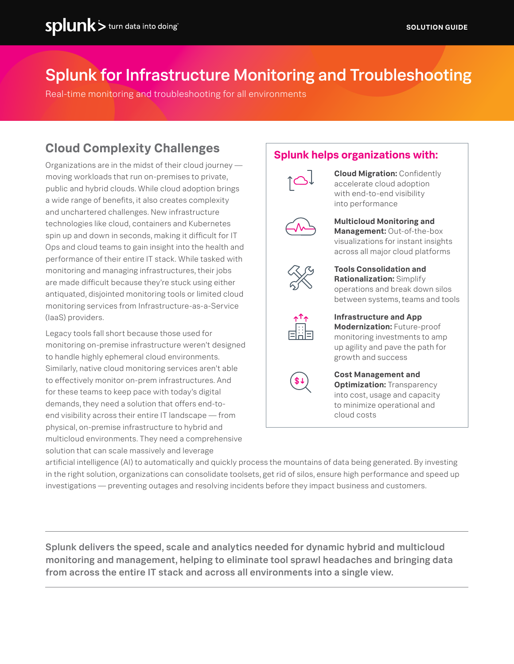# Splunk for Infrastructure Monitoring and Troubleshooting

Real-time monitoring and troubleshooting for all environments

## **Cloud Complexity Challenges**

Organizations are in the midst of their cloud journey moving workloads that run on-premises to private, public and hybrid clouds. While cloud adoption brings a wide range of benefits, it also creates complexity and unchartered challenges. New infrastructure technologies like cloud, containers and Kubernetes spin up and down in seconds, making it difficult for IT Ops and cloud teams to gain insight into the health and performance of their entire IT stack. While tasked with monitoring and managing infrastructures, their jobs are made difficult because they're stuck using either antiquated, disjointed monitoring tools or limited cloud monitoring services from Infrastructure-as-a-Service (IaaS) providers.

Legacy tools fall short because those used for monitoring on-premise infrastructure weren't designed to handle highly ephemeral cloud environments. Similarly, native cloud monitoring services aren't able to effectively monitor on-prem infrastructures. And for these teams to keep pace with today's digital demands, they need a solution that offers end-toend visibility across their entire IT landscape — from physical, on-premise infrastructure to hybrid and multicloud environments. They need a comprehensive solution that can scale massively and leverage

#### **Splunk helps organizations with:**



**Cloud Migration:** Confidently accelerate cloud adoption with end-to-end visibility into performance



**Multicloud Monitoring and Management:** Out-of-the-box visualizations for instant insights across all major cloud platforms

**Tools Consolidation and** 



**Rationalization:** Simplify operations and break down silos between systems, teams and tools

**Infrastructure and App Modernization:** Future-proof monitoring investments to amp up agility and pave the path for growth and success



**Cost Management and Optimization: Transparency** into cost, usage and capacity to minimize operational and cloud costs

artificial intelligence (AI) to automatically and quickly process the mountains of data being generated. By investing in the right solution, organizations can consolidate toolsets, get rid of silos, ensure high performance and speed up investigations — preventing outages and resolving incidents before they impact business and customers.

Splunk delivers the speed, scale and analytics needed for dynamic hybrid and multicloud monitoring and management, helping to eliminate tool sprawl headaches and bringing data from across the entire IT stack and across all environments into a single view.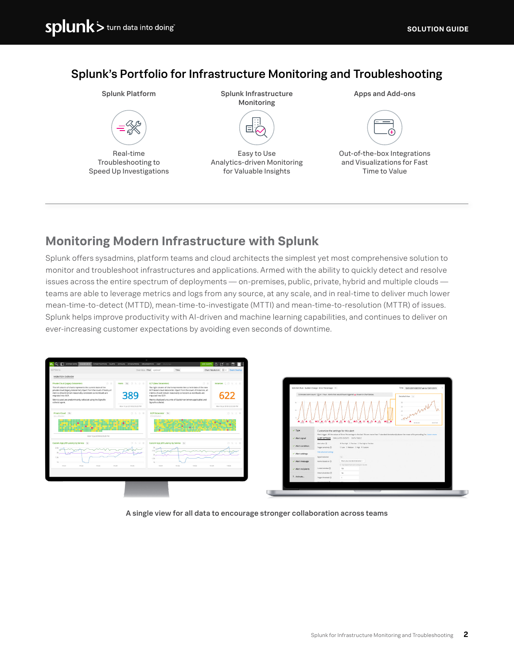### Splunk's Portfolio for Infrastructure Monitoring and Troubleshooting



#### **Monitoring Modern Infrastructure with Splunk**

Splunk offers sysadmins, platform teams and cloud architects the simplest yet most comprehensive solution to monitor and troubleshoot infrastructures and applications. Armed with the ability to quickly detect and resolve issues across the entire spectrum of deployments — on-premises, public, private, hybrid and multiple clouds teams are able to leverage metrics and logs from any source, at any scale, and in real-time to deliver much lower mean-time-to-detect (MTTD), mean-time-to-investigate (MTTI) and mean-time-to-resolution (MTTR) of issues. Splunk helps improve productivity with AI-driven and machine learning capabilities, and continues to deliver on ever-increasing customer expectations by avoiding even seconds of downtime.



A single view for all data to encourage stronger collaboration across teams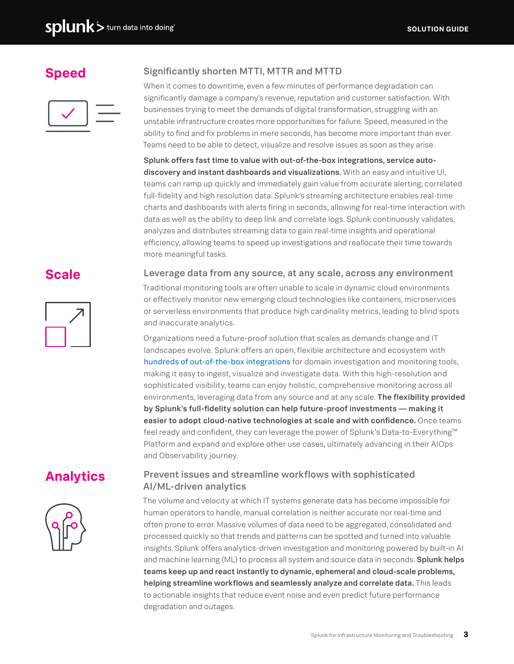## **Speed**



#### Significantly shorten MTTI, MTTR and MTTD

When it comes to downtime, even a few minutes of performance degradation can significantly damage a company's revenue, reputation and customer satisfaction. With businesses trying to meet the demands of digital transformation, struggling with an unstable infrastructure creates more opportunities for failure. Speed, measured in the ability to find and fix problems in mere seconds, has become more important than ever. Teams need to be able to detect, visualize and resolve issues as soon as they arise.

Splunk offers fast time to value with out-of-the-box integrations, service autodiscovery and instant dashboards and visualizations. With an easy and intuitive UI, teams can ramp up quickly and immediately gain value from accurate alerting, correlated full-fidelity and high resolution data. Splunk's streaming architecture enables real-time charts and dashboards with alerts firing in seconds, allowing for real-time interaction with data as well as the ability to deep link and correlate logs. Splunk continuously validates, analyzes and distributes streaming data to gain real-time insights and operational efficiency, allowing teams to speed up investigations and reallocate their time towards more meaningful tasks.

#### **Scale**



#### Leverage data from any source, at any scale, across any environment

Traditional monitoring tools are often unable to scale in dynamic cloud environments or effectively monitor new emerging cloud technologies like containers, microservices or serverless environments that produce high cardinality metrics, leading to blind spots and inaccurate analytics.

Organizations need a future-proof solution that scales as demands change and IT landscapes evolve. Splunk offers an open, flexible architecture and ecosystem with [hundreds of out-of-the-box integrations](https://www.splunk.com/en_us/app-integrations.html) for domain investigation and monitoring tools, making it easy to ingest, visualize and investigate data. With this high-resolution and sophisticated visibility, teams can enjoy holistic, comprehensive monitoring across all environments, leveraging data from any source and at any scale. The flexibility provided by Splunk's full-fidelity solution can help future-proof investments — making it easier to adopt cloud-native technologies at scale and with confidence. Once teams feel ready and confident, they can leverage the power of Splunk's Data-to-Everything™ Platform and expand and explore other use cases, ultimately advancing in their AIOps and Observability journey.

## **Analytics**



#### Prevent issues and streamline workflows with sophisticated AI/ML-driven analytics

The volume and velocity at which IT systems generate data has become impossible for human operators to handle, manual correlation is neither accurate nor real-time and often prone to error. Massive volumes of data need to be aggregated, consolidated and processed quickly so that trends and patterns can be spotted and turned into valuable insights. Splunk offers analytics-driven investigation and monitoring powered by built-in AI and machine learning (ML) to process all system and source data in seconds. **Splunk helps** teams keep up and react instantly to dynamic, ephemeral and cloud-scale problems, helping streamline workflows and seamlessly analyze and correlate data. This leads to actionable insights that reduce event noise and even predict future performance degradation and outages.